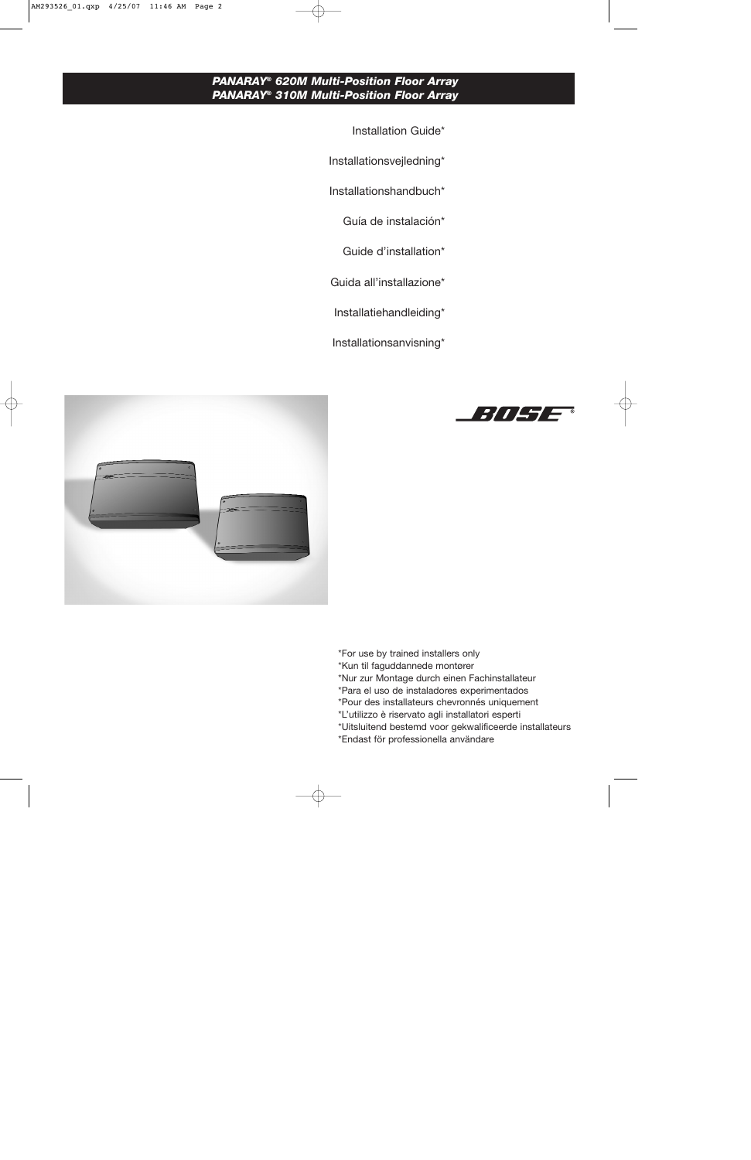## *PANARAY® 620M Multi-Position Floor Array PANARAY® 310M Multi-Position Floor Array*

- Installation Guide\*
- Installationsvejledning\*
- Installationshandbuch\*
	- Guía de instalación\*
	- Guide d'installation\*
- Guida all'installazione\*
- Installatiehandleiding\*
- Installationsanvisning\*





- \*For use by trained installers only
- \*Kun til faguddannede montører
- \*Nur zur Montage durch einen Fachinstallateur
- \*Para el uso de instaladores experimentados
- \*Pour des installateurs chevronnés uniquement
- \*L'utilizzo è riservato agli installatori esperti
- \*Uitsluitend bestemd voor gekwalificeerde installateurs
- \*Endast för professionella användare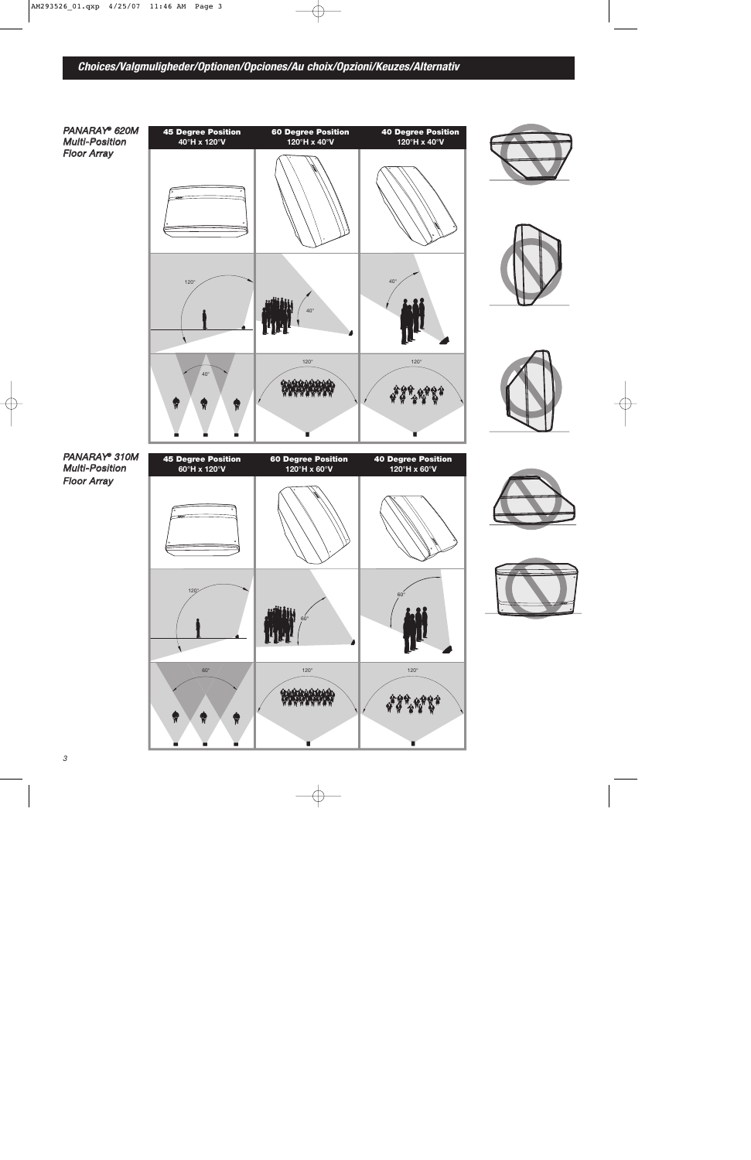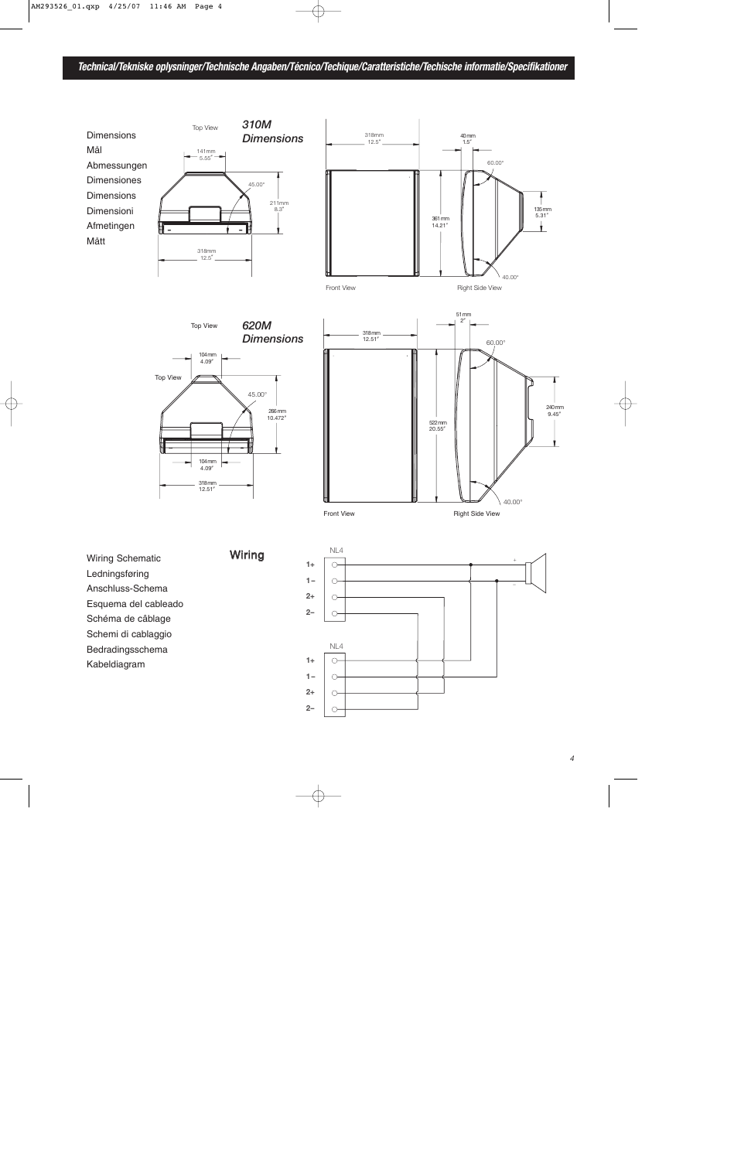



Wiring



135mm<br>5.31"

Wiring Schematic Ledningsføring Anschluss-Schema Esquema del cableado Schéma de câblage Schemi di cablaggio Bedradingsschema Kabeldiagram